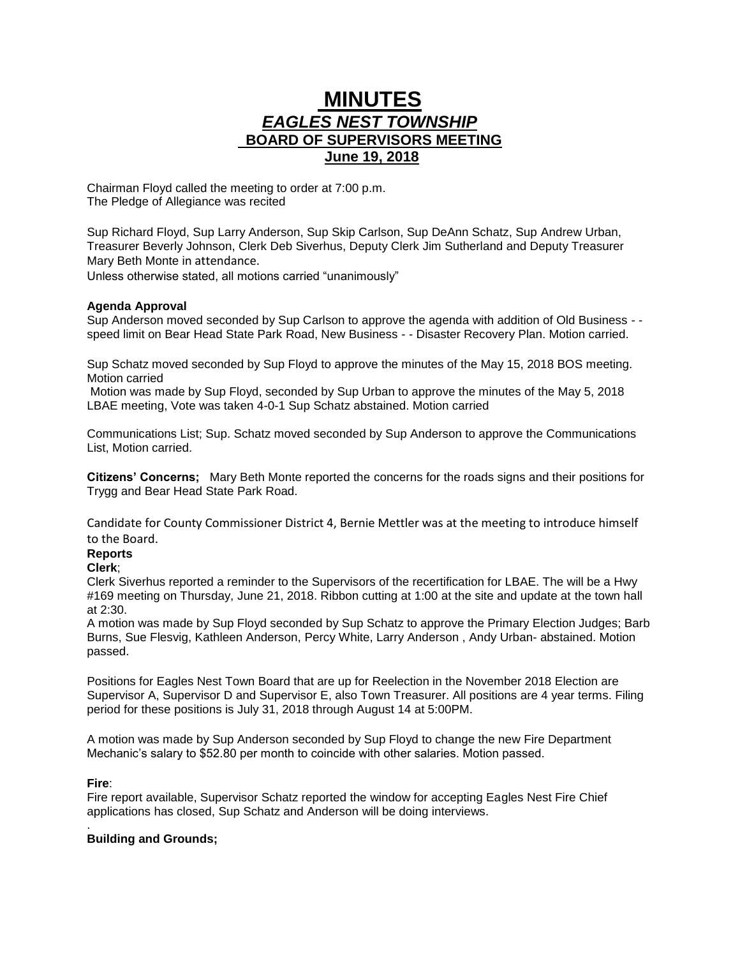# **MINUTES** *EAGLES NEST TOWNSHIP*  **BOARD OF SUPERVISORS MEETING June 19, 2018**

Chairman Floyd called the meeting to order at 7:00 p.m. The Pledge of Allegiance was recited

Sup Richard Floyd, Sup Larry Anderson, Sup Skip Carlson, Sup DeAnn Schatz, Sup Andrew Urban, Treasurer Beverly Johnson, Clerk Deb Siverhus, Deputy Clerk Jim Sutherland and Deputy Treasurer Mary Beth Monte in attendance.

Unless otherwise stated, all motions carried "unanimously"

## **Agenda Approval**

Sup Anderson moved seconded by Sup Carlson to approve the agenda with addition of Old Business - speed limit on Bear Head State Park Road, New Business - - Disaster Recovery Plan. Motion carried.

Sup Schatz moved seconded by Sup Floyd to approve the minutes of the May 15, 2018 BOS meeting. Motion carried

Motion was made by Sup Floyd, seconded by Sup Urban to approve the minutes of the May 5, 2018 LBAE meeting, Vote was taken 4-0-1 Sup Schatz abstained. Motion carried

Communications List; Sup. Schatz moved seconded by Sup Anderson to approve the Communications List, Motion carried.

**Citizens' Concerns;** Mary Beth Monte reported the concerns for the roads signs and their positions for Trygg and Bear Head State Park Road.

Candidate for County Commissioner District 4, Bernie Mettler was at the meeting to introduce himself to the Board.

## **Reports**

## **Clerk**;

Clerk Siverhus reported a reminder to the Supervisors of the recertification for LBAE. The will be a Hwy #169 meeting on Thursday, June 21, 2018. Ribbon cutting at 1:00 at the site and update at the town hall at 2:30.

A motion was made by Sup Floyd seconded by Sup Schatz to approve the Primary Election Judges; Barb Burns, Sue Flesvig, Kathleen Anderson, Percy White, Larry Anderson , Andy Urban- abstained. Motion passed.

Positions for Eagles Nest Town Board that are up for Reelection in the November 2018 Election are Supervisor A, Supervisor D and Supervisor E, also Town Treasurer. All positions are 4 year terms. Filing period for these positions is July 31, 2018 through August 14 at 5:00PM.

A motion was made by Sup Anderson seconded by Sup Floyd to change the new Fire Department Mechanic's salary to \$52.80 per month to coincide with other salaries. Motion passed.

## **Fire**:

Fire report available, Supervisor Schatz reported the window for accepting Eagles Nest Fire Chief applications has closed, Sup Schatz and Anderson will be doing interviews.

#### . **Building and Grounds;**